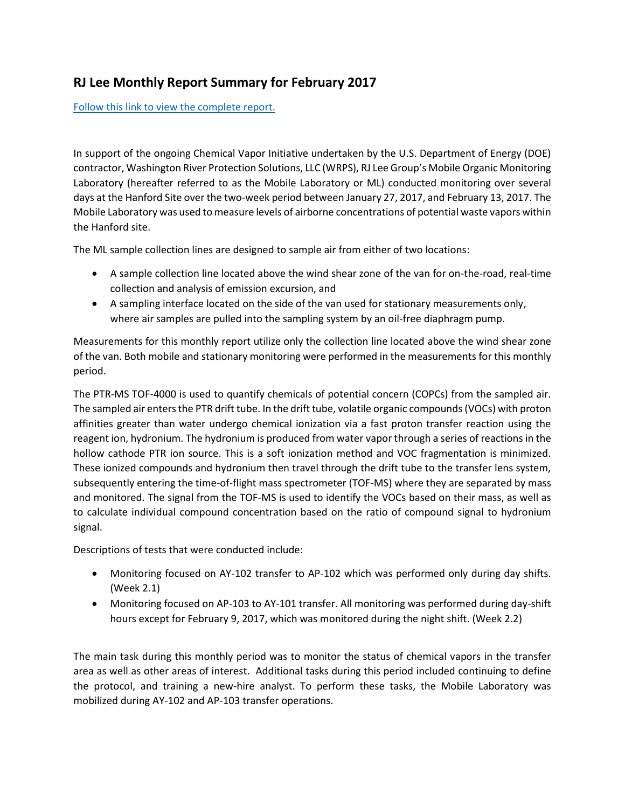## **RJ Lee Monthly Report Summary for February 2017**

[Follow this link to view the complete report.](https://hanfordvapors.com/wp-content/uploads/2017/10/Mobile_Lab_PTR-MS_Chemical_Vapor_Init._Monthly_Report_2.pdf)

In support of the ongoing Chemical Vapor Initiative undertaken by the U.S. Department of Energy (DOE) contractor, Washington River Protection Solutions, LLC (WRPS), RJ Lee Group's Mobile Organic Monitoring Laboratory (hereafter referred to as the Mobile Laboratory or ML) conducted monitoring over several days at the Hanford Site over the two-week period between January 27, 2017, and February 13, 2017. The Mobile Laboratory was used to measure levels of airborne concentrations of potential waste vapors within the Hanford site.

The ML sample collection lines are designed to sample air from either of two locations:

- A sample collection line located above the wind shear zone of the van for on-the-road, real-time collection and analysis of emission excursion, and
- A sampling interface located on the side of the van used for stationary measurements only, where air samples are pulled into the sampling system by an oil-free diaphragm pump.

Measurements for this monthly report utilize only the collection line located above the wind shear zone of the van. Both mobile and stationary monitoring were performed in the measurements for this monthly period.

The PTR-MS TOF-4000 is used to quantify chemicals of potential concern (COPCs) from the sampled air. The sampled air enters the PTR drift tube. In the drift tube, volatile organic compounds (VOCs) with proton affinities greater than water undergo chemical ionization via a fast proton transfer reaction using the reagent ion, hydronium. The hydronium is produced from water vapor through a series of reactions in the hollow cathode PTR ion source. This is a soft ionization method and VOC fragmentation is minimized. These ionized compounds and hydronium then travel through the drift tube to the transfer lens system, subsequently entering the time-of-flight mass spectrometer (TOF-MS) where they are separated by mass and monitored. The signal from the TOF-MS is used to identify the VOCs based on their mass, as well as to calculate individual compound concentration based on the ratio of compound signal to hydronium signal.

Descriptions of tests that were conducted include:

- Monitoring focused on AY-102 transfer to AP-102 which was performed only during day shifts. (Week 2.1)
- Monitoring focused on AP-103 to AY-101 transfer. All monitoring was performed during day-shift hours except for February 9, 2017, which was monitored during the night shift. (Week 2.2)

The main task during this monthly period was to monitor the status of chemical vapors in the transfer area as well as other areas of interest. Additional tasks during this period included continuing to define the protocol, and training a new-hire analyst. To perform these tasks, the Mobile Laboratory was mobilized during AY-102 and AP-103 transfer operations.